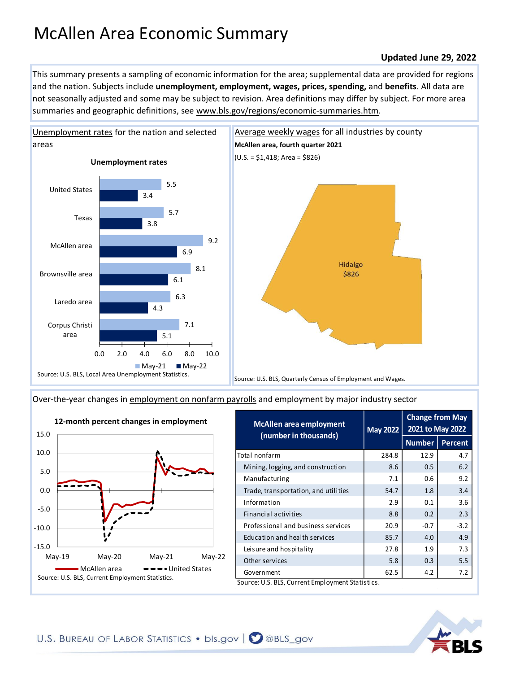## McAllen Area Economic Summary

## **Updated June 29, 2022**

This summary presents a sampling of economic information for the area; supplemental data are provided for regions and the nation. Subjects include **unemployment, employment, wages, prices, spending,** and **benefits**. All data are not seasonally adjusted and some may be subject to revision. Area definitions may differ by subject. For more area summaries and geographic definitions, see www.bls.gov/regions/economic-summaries.htm.



[Over-the-year changes in employment on nonfarm payrolls](https://www.bls.gov/sae/) and employment by major industry sector



| <b>May 2022</b> | <b>Change from May</b><br>2021 to May 2022 |                |
|-----------------|--------------------------------------------|----------------|
|                 | <b>Number</b>                              | <b>Percent</b> |
| 284.8           | 12.9                                       | 4.7            |
| 8.6             | 0.5                                        | 6.2            |
| 7.1             | 0.6                                        | 9.2            |
| 54.7            | 1.8                                        | 3.4            |
| 2.9             | 0.1                                        | 3.6            |
| 8.8             | 0.2                                        | 2.3            |
| 20.9            | $-0.7$                                     | $-3.2$         |
| 85.7            | 4.0                                        | 4.9            |
| 27.8            | 1.9                                        | 7.3            |
| 5.8             | 0.3                                        | 5.5            |
| 62.5            | 4.2                                        | 7.2            |
|                 |                                            |                |